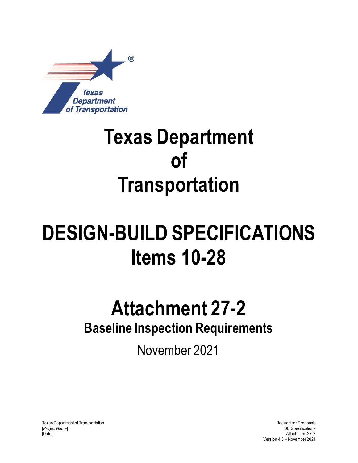

## **Texas Department of Transportation**

# **DESIGN-BUILD SPECIFICATIONS Items 10-28**

### **Attachment 27-2 Baseline Inspection Requirements**

November 2021

Texas Department of Transportation and the control of Transportation Request for Proposals [*Project Name*] DB Specifications [Date] Attachment 27-2

Version 4.3 – November 2021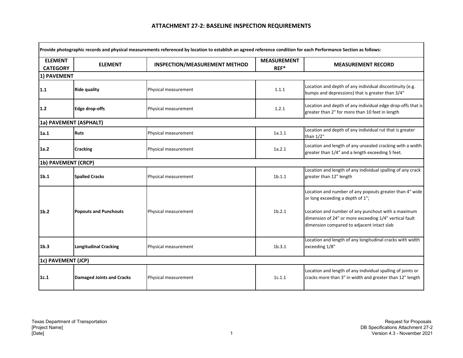| <b>ELEMENT</b><br><b>CATEGORY</b> | <b>ELEMENT</b>                   | INSPECTION/MEASUREMENT METHOD | <b>MEASUREMENT</b><br>$REF^*$ | <b>MEASUREMENT RECORD</b>                                                                                                                                  |
|-----------------------------------|----------------------------------|-------------------------------|-------------------------------|------------------------------------------------------------------------------------------------------------------------------------------------------------|
| 1) PAVEMENT                       |                                  |                               |                               |                                                                                                                                                            |
| $1.1$                             | <b>Ride quality</b>              | Physical measurement          | 1.1.1                         | Location and depth of any individual discontinuity (e.g.<br>bumps and depressions) that is greater than 3/4"                                               |
| $1.2$                             | <b>Edge drop-offs</b>            | Physical measurement          | 1.2.1                         | Location and depth of any individual edge drop-offs that is<br>greater than 2" for more than 10 feet in length                                             |
| 1a) PAVEMENT (ASPHALT)            |                                  |                               |                               |                                                                                                                                                            |
| 1a.1                              | <b>Ruts</b>                      | Physical measurement          | 1a.1.1                        | Location and depth of any individual rut that is greater<br>than 1/2"                                                                                      |
| 1a.2                              | <b>Cracking</b>                  | Physical measurement          | 1a.2.1                        | Location and length of any unsealed cracking with a width<br>greater than 1/4" and a length exceeding 5 feet.                                              |
| 1b) PAVEMENT (CRCP)               |                                  |                               |                               |                                                                                                                                                            |
| 1 <sub>b.1</sub>                  | <b>Spalled Cracks</b>            | Physical measurement          | 1b.1.1                        | Location and length of any individual spalling of any crack<br>greater than 12" length                                                                     |
|                                   |                                  |                               |                               | Location and number of any popouts greater than 4" wide<br>or long exceeding a depth of 1";                                                                |
| 1 <sub>b.2</sub>                  | <b>Popouts and Punchouts</b>     | Physical measurement          | 1b.2.1                        | Location and number of any punchout with a maximum<br>dimension of 24" or more exceeding 1/4" vertical fault<br>dimension compared to adjacent intact slab |
| 1 <sub>b.3</sub>                  | <b>Longitudinal Cracking</b>     | Physical measurement          | 1b.3.1                        | Location and length of any longitudinal cracks with width<br>exceeding 1/8"                                                                                |
| 1c) PAVEMENT (JCP)                |                                  |                               |                               |                                                                                                                                                            |
| 1c.1                              | <b>Damaged Joints and Cracks</b> | Physical measurement          | 1c.1.1                        | Location and length of any individual spalling of joints or<br>cracks more than 3" in width and greater than 12" length                                    |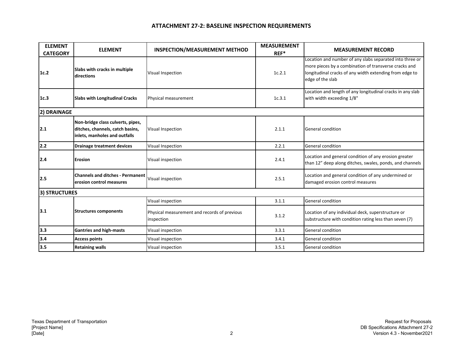| <b>ELEMENT</b><br><b>CATEGORY</b> | <b>ELEMENT</b>                                                                                         | <b>INSPECTION/MEASUREMENT METHOD</b>                       | <b>MEASUREMENT</b><br>$REF^*$ | <b>MEASUREMENT RECORD</b>                                                                                                                                                                        |
|-----------------------------------|--------------------------------------------------------------------------------------------------------|------------------------------------------------------------|-------------------------------|--------------------------------------------------------------------------------------------------------------------------------------------------------------------------------------------------|
| 1c.2                              | Slabs with cracks in multiple<br>directions                                                            | Visual Inspection                                          | 1c.2.1                        | Location and number of any slabs separated into three or<br>more pieces by a combination of transverse cracks and<br>longitudinal cracks of any width extending from edge to<br>edge of the slab |
| 1c.3                              | <b>Slabs with Longitudinal Cracks</b>                                                                  | Physical measurement                                       | 1c.3.1                        | Location and length of any longitudinal cracks in any slab<br>with width exceeding 1/8"                                                                                                          |
| 2) DRAINAGE                       |                                                                                                        |                                                            |                               |                                                                                                                                                                                                  |
| 2.1                               | Non-bridge class culverts, pipes,<br>ditches, channels, catch basins,<br>inlets, manholes and outfalls | Visual Inspection                                          | 2.1.1                         | General condition                                                                                                                                                                                |
| $2.2$                             | <b>Drainage treatment devices</b>                                                                      | Visual Inspection                                          | 2.2.1                         | General condition                                                                                                                                                                                |
| 2.4                               | <b>Erosion</b>                                                                                         | Visual inspection                                          | 2.4.1                         | Location and general condition of any erosion greater<br>than 12" deep along ditches, swales, ponds, and channels                                                                                |
| 2.5                               | <b>Channels and ditches - Permanent</b><br>erosion control measures                                    | Visual inspection                                          | 2.5.1                         | Location and general condition of any undermined or<br>damaged erosion control measures                                                                                                          |
| <b>3) STRUCTURES</b>              |                                                                                                        |                                                            |                               |                                                                                                                                                                                                  |
| 3.1                               | <b>Structures components</b>                                                                           | Visual inspection                                          | 3.1.1                         | General condition                                                                                                                                                                                |
|                                   |                                                                                                        | Physical measurement and records of previous<br>inspection | 3.1.2                         | Location of any individual deck, superstructure or<br>substructure with condition rating less than seven (7)                                                                                     |
| 3.3                               | <b>Gantries and high-masts</b>                                                                         | Visual inspection                                          | 3.3.1                         | General condition                                                                                                                                                                                |
| 3.4                               | <b>Access points</b>                                                                                   | Visual inspection                                          | 3.4.1                         | General condition                                                                                                                                                                                |
| 3.5                               | <b>Retaining walls</b>                                                                                 | Visual inspection                                          | 3.5.1                         | General condition                                                                                                                                                                                |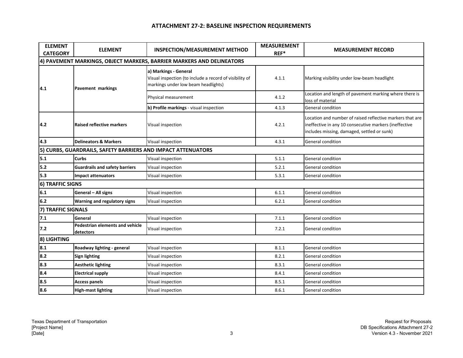| <b>ELEMENT</b><br><b>CATEGORY</b> | <b>ELEMENT</b>                                               | <b>INSPECTION/MEASUREMENT METHOD</b>                                                                                    | <b>MEASUREMENT</b><br>$REF^*$ | <b>MEASUREMENT RECORD</b>                                                                                                                                          |
|-----------------------------------|--------------------------------------------------------------|-------------------------------------------------------------------------------------------------------------------------|-------------------------------|--------------------------------------------------------------------------------------------------------------------------------------------------------------------|
|                                   |                                                              | 4) PAVEMENT MARKINGS, OBJECT MARKERS, BARRIER MARKERS AND DELINEATORS                                                   |                               |                                                                                                                                                                    |
| 4.1                               | <b>Pavement markings</b>                                     | a) Markings - General<br>Visual inspection (to include a record of visibility of<br>markings under low beam headlights) | 4.1.1                         | Marking visibility under low-beam headlight                                                                                                                        |
|                                   |                                                              | Physical measurement                                                                                                    | 4.1.2                         | Location and length of pavement marking where there is<br>loss of material                                                                                         |
|                                   |                                                              | b) Profile markings - visual inspection                                                                                 | 4.1.3                         | General condition                                                                                                                                                  |
| 4.2                               | <b>Raised reflective markers</b>                             | Visual inspection                                                                                                       | 4.2.1                         | Location and number of raised reflective markers that are<br>ineffective in any 10 consecutive markers (ineffective<br>includes missing, damaged, settled or sunk) |
| 4.3                               | <b>Delineators &amp; Markers</b>                             | Visual inspection                                                                                                       | 4.3.1                         | General condition                                                                                                                                                  |
|                                   | 5) CURBS, GUARDRAILS, SAFETY BARRIERS AND IMPACT ATTENUATORS |                                                                                                                         |                               |                                                                                                                                                                    |
| 5.1                               | <b>Curbs</b>                                                 | Visual inspection                                                                                                       | 5.1.1                         | General condition                                                                                                                                                  |
| 5.2                               | <b>Guardrails and safety barriers</b>                        | Visual inspection                                                                                                       | 5.2.1                         | General condition                                                                                                                                                  |
| 5.3                               | <b>Impact attenuators</b>                                    | Visual inspection                                                                                                       | 5.3.1                         | General condition                                                                                                                                                  |
| <b>6) TRAFFIC SIGNS</b>           |                                                              |                                                                                                                         |                               |                                                                                                                                                                    |
| 6.1                               | General - All signs                                          | Visual inspection                                                                                                       | 6.1.1                         | General condition                                                                                                                                                  |
| 6.2                               | <b>Warning and regulatory signs</b>                          | Visual inspection                                                                                                       | 6.2.1                         | General condition                                                                                                                                                  |
| 7) TRAFFIC SIGNALS                |                                                              |                                                                                                                         |                               |                                                                                                                                                                    |
| 7.1                               | General                                                      | Visual inspection                                                                                                       | 7.1.1                         | General condition                                                                                                                                                  |
| 7.2                               | Pedestrian elements and vehicle<br>detectors                 | Visual inspection                                                                                                       | 7.2.1                         | General condition                                                                                                                                                  |
| 8) LIGHTING                       |                                                              |                                                                                                                         |                               |                                                                                                                                                                    |
| 8.1                               | Roadway lighting - general                                   | Visual inspection                                                                                                       | 8.1.1                         | General condition                                                                                                                                                  |
| 8.2                               | <b>Sign lighting</b>                                         | Visual inspection                                                                                                       | 8.2.1                         | General condition                                                                                                                                                  |
| 8.3                               | <b>Aesthetic lighting</b>                                    | Visual inspection                                                                                                       | 8.3.1                         | General condition                                                                                                                                                  |
| 8.4                               | <b>Electrical supply</b>                                     | Visual inspection                                                                                                       | 8.4.1                         | General condition                                                                                                                                                  |
| 8.5                               | <b>Access panels</b>                                         | Visual inspection                                                                                                       | 8.5.1                         | General condition                                                                                                                                                  |
| 8.6                               | <b>High-mast lighting</b>                                    | Visual inspection                                                                                                       | 8.6.1                         | General condition                                                                                                                                                  |